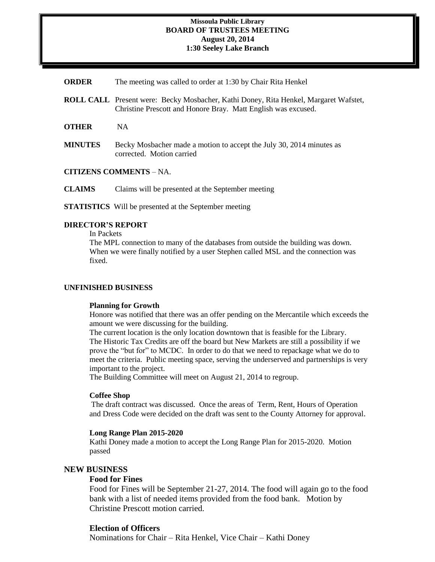#### **Missoula Public Library BOARD OF TRUSTEES MEETING August 20, 2014 1:30 Seeley Lake Branch**

**ORDER** The meeting was called to order at 1:30 by Chair Rita Henkel

- **ROLL CALL** Present were: Becky Mosbacher, Kathi Doney, Rita Henkel, Margaret Wafstet, Christine Prescott and Honore Bray. Matt English was excused.
- **OTHER** NA
- **MINUTES** Becky Mosbacher made a motion to accept the July 30, 2014 minutes as corrected. Motion carried

**CITIZENS COMMENTS** – NA.

**CLAIMS** Claims will be presented at the September meeting

**STATISTICS** Will be presented at the September meeting

## **DIRECTOR'S REPORT**

In Packets

The MPL connection to many of the databases from outside the building was down. When we were finally notified by a user Stephen called MSL and the connection was fixed.

#### **UNFINISHED BUSINESS**

#### **Planning for Growth**

Honore was notified that there was an offer pending on the Mercantile which exceeds the amount we were discussing for the building.

The current location is the only location downtown that is feasible for the Library. The Historic Tax Credits are off the board but New Markets are still a possibility if we prove the "but for" to MCDC. In order to do that we need to repackage what we do to meet the criteria. Public meeting space, serving the underserved and partnerships is very important to the project.

The Building Committee will meet on August 21, 2014 to regroup.

#### **Coffee Shop**

The draft contract was discussed. Once the areas of Term, Rent, Hours of Operation and Dress Code were decided on the draft was sent to the County Attorney for approval.

### **Long Range Plan 2015-2020**

Kathi Doney made a motion to accept the Long Range Plan for 2015-2020. Motion passed

### **NEW BUSINESS**

## **Food for Fines**

Food for Fines will be September 21-27, 2014. The food will again go to the food bank with a list of needed items provided from the food bank. Motion by Christine Prescott motion carried.

### **Election of Officers**

Nominations for Chair – Rita Henkel, Vice Chair – Kathi Doney